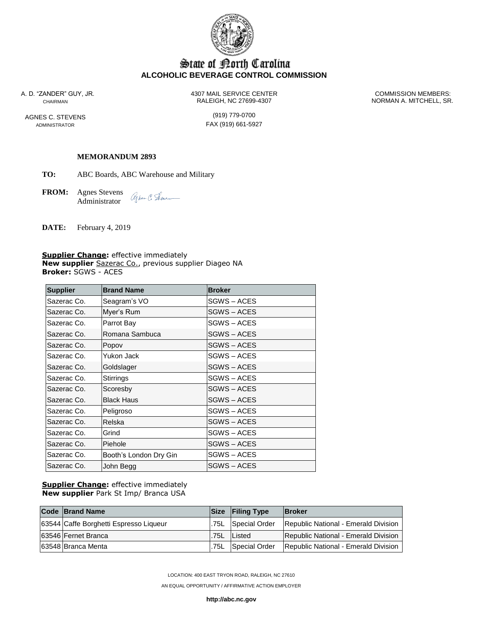

# State of Korth Carolina **ALCOHOLIC BEVERAGE CONTROL COMMISSION**

AGNES C. STEVENS (919) 779-0700

A. D. "ZANDER" GUY, JR. 4307 MAIL SERVICE CENTER COMMISSION MEMBERS: CHAIRMAN RALEIGH, NC 27699-4307 NORMAN A. MITCHELL, SR.

ADMINISTRATOR **FAX** (919) 661-5927

#### **MEMORANDUM 2893**

**TO:** ABC Boards, ABC Warehouse and Military

**FROM:** Agnes Stevens agher C. Sene\_ Administrator

**DATE:** February 4, 2019

**Supplier Change:** effective immediately **New supplier** Sazerac Co., previous supplier Diageo NA **Broker:** SGWS - ACES

| <b>Supplier</b> | <b>Brand Name</b>      | <b>Broker</b>    |  |
|-----------------|------------------------|------------------|--|
| Sazerac Co.     | Seagram's VO           | SGWS – ACES      |  |
| Sazerac Co.     | Myer's Rum             | SGWS – ACES      |  |
| Sazerac Co.     | Parrot Bay             | SGWS – ACES      |  |
| Sazerac Co.     | Romana Sambuca         | <b>SGWS-ACES</b> |  |
| Sazerac Co.     | Popov                  | SGWS – ACES      |  |
| Sazerac Co.     | Yukon Jack             | SGWS-ACES        |  |
| Sazerac Co.     | Goldslager             | SGWS-ACES        |  |
| Sazerac Co.     | Stirrings              | SGWS-ACES        |  |
| Sazerac Co.     | Scoresby               | SGWS-ACES        |  |
| Sazerac Co.     | <b>Black Haus</b>      | SGWS – ACES      |  |
| Sazerac Co.     | Peligroso              | SGWS – ACES      |  |
| Sazerac Co.     | Relska                 | SGWS – ACES      |  |
| Sazerac Co.     | Grind                  | SGWS – ACES      |  |
| Sazerac Co.     | Piehole                | SGWS – ACES      |  |
| Sazerac Co.     | Booth's London Dry Gin | SGWS – ACES      |  |
| Sazerac Co.     | John Begg              | SGWS – ACES      |  |

**Supplier Change:** effective immediately **New supplier** Park St Imp/ Branca USA

| <b>Code Brand Name</b>                 |      | <b>Size</b> Filing Type | <b>IBroker</b>                       |
|----------------------------------------|------|-------------------------|--------------------------------------|
| 63544 Caffe Borghetti Espresso Liqueur |      | .75L Special Order      | Republic National - Emerald Division |
| 63546 Fernet Branca                    | .75L | Listed                  | Republic National - Emerald Division |
| 163548   Branca Menta                  | .75L | Special Order           | Republic National - Emerald Division |

LOCATION: 400 EAST TRYON ROAD, RALEIGH, NC 27610

AN EQUAL OPPORTUNITY / AFFIRMATIVE ACTION EMPLOYER

**http://abc.nc.gov**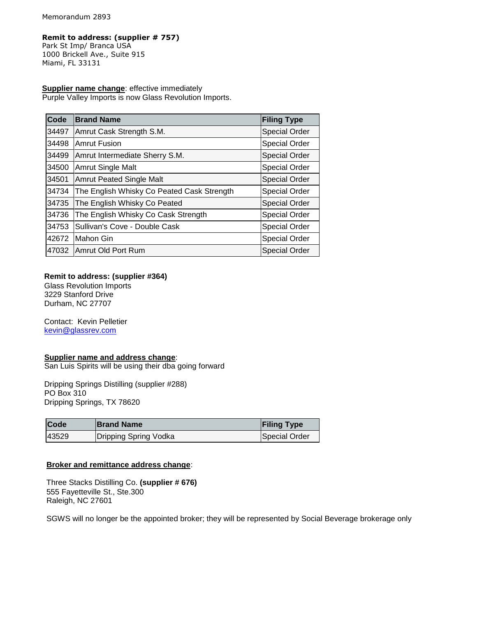#### **Remit to address: (supplier # 757)**

Park St Imp/ Branca USA 1000 Brickell Ave., Suite 915 Miami, FL 33131

### **Supplier name change: effective immediately**

Purple Valley Imports is now Glass Revolution Imports.

| Code  | <b>Brand Name</b>                          | <b>Filing Type</b>   |
|-------|--------------------------------------------|----------------------|
| 34497 | Amrut Cask Strength S.M.                   | <b>Special Order</b> |
| 34498 | <b>Amrut Fusion</b>                        | <b>Special Order</b> |
| 34499 | Amrut Intermediate Sherry S.M.             | <b>Special Order</b> |
| 34500 | <b>Amrut Single Malt</b>                   | <b>Special Order</b> |
| 34501 | <b>Amrut Peated Single Malt</b>            | <b>Special Order</b> |
| 34734 | The English Whisky Co Peated Cask Strength | <b>Special Order</b> |
| 34735 | The English Whisky Co Peated               | <b>Special Order</b> |
| 34736 | The English Whisky Co Cask Strength        | <b>Special Order</b> |
| 34753 | Sullivan's Cove - Double Cask              | <b>Special Order</b> |
| 42672 | Mahon Gin                                  | <b>Special Order</b> |
| 47032 | Amrut Old Port Rum                         | <b>Special Order</b> |

#### **Remit to address: (supplier #364)**

 Glass Revolution Imports 3229 Stanford Drive Durham, NC 27707

 Contact: Kevin Pelletier [kevin@glassrev.com](mailto:kevin@glassrev.com)

#### **Supplier name and address change**:

San Luis Spirits will be using their dba going forward

 Dripping Springs Distilling (supplier #288) PO Box 310 Dripping Springs, TX 78620

| <b>Code</b> | <b>Brand Name</b>     | <b>Filing Type</b> |
|-------------|-----------------------|--------------------|
| 43529       | Dripping Spring Vodka | Special Order      |

#### **Broker and remittance address change**:

 Three Stacks Distilling Co. **(supplier # 676)** 555 Fayetteville St., Ste.300 Raleigh, NC 27601

SGWS will no longer be the appointed broker; they will be represented by Social Beverage brokerage only